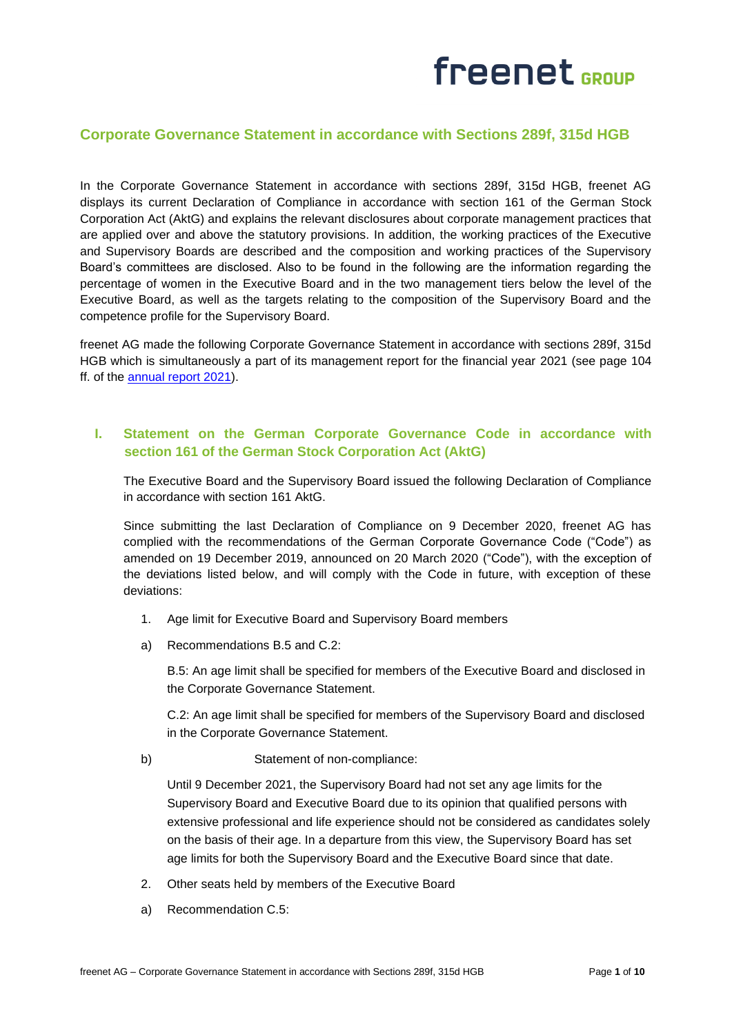### **Corporate Governance Statement in accordance with Sections 289f, 315d HGB**

In the Corporate Governance Statement in accordance with sections 289f, 315d HGB, freenet AG displays its current Declaration of Compliance in accordance with section 161 of the German Stock Corporation Act (AktG) and explains the relevant disclosures about corporate management practices that are applied over and above the statutory provisions. In addition, the working practices of the Executive and Supervisory Boards are described and the composition and working practices of the Supervisory Board's committees are disclosed. Also to be found in the following are the information regarding the percentage of women in the Executive Board and in the two management tiers below the level of the Executive Board, as well as the targets relating to the composition of the Supervisory Board and the competence profile for the Supervisory Board.

freenet AG made the following Corporate Governance Statement in accordance with sections 289f, 315d HGB which is simultaneously a part of its management report for the financial year 2021 (see page 104 ff. of the [annual report 2021\)](https://www.freenet-group.de/en/investor-relations/publications/financial-reports/index.html).

### **I. Statement on the German Corporate Governance Code in accordance with section 161 of the German Stock Corporation Act (AktG)**

The Executive Board and the Supervisory Board issued the following Declaration of Compliance in accordance with section 161 AktG.

Since submitting the last Declaration of Compliance on 9 December 2020, freenet AG has complied with the recommendations of the German Corporate Governance Code ("Code") as amended on 19 December 2019, announced on 20 March 2020 ("Code"), with the exception of the deviations listed below, and will comply with the Code in future, with exception of these deviations:

- 1. Age limit for Executive Board and Supervisory Board members
- a) Recommendations B.5 and C.2:

B.5: An age limit shall be specified for members of the Executive Board and disclosed in the Corporate Governance Statement.

C.2: An age limit shall be specified for members of the Supervisory Board and disclosed in the Corporate Governance Statement.

b) Statement of non-compliance:

Until 9 December 2021, the Supervisory Board had not set any age limits for the Supervisory Board and Executive Board due to its opinion that qualified persons with extensive professional and life experience should not be considered as candidates solely on the basis of their age. In a departure from this view, the Supervisory Board has set age limits for both the Supervisory Board and the Executive Board since that date.

- 2. Other seats held by members of the Executive Board
- a) Recommendation C.5: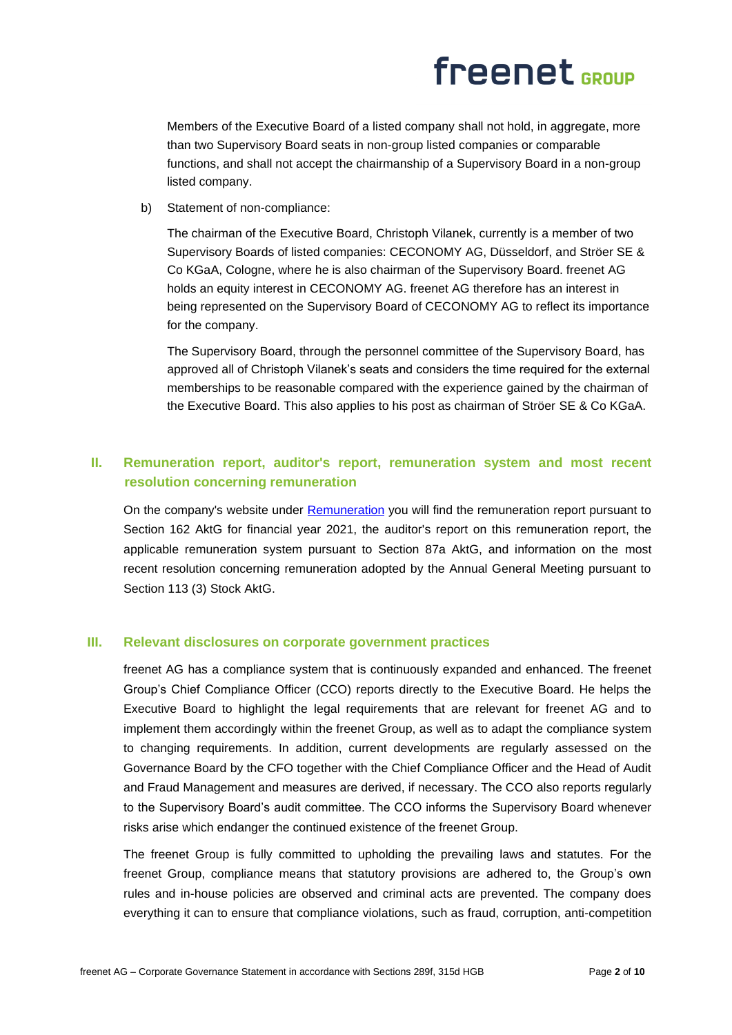Members of the Executive Board of a listed company shall not hold, in aggregate, more than two Supervisory Board seats in non-group listed companies or comparable functions, and shall not accept the chairmanship of a Supervisory Board in a non-group listed company.

b) Statement of non-compliance:

The chairman of the Executive Board, Christoph Vilanek, currently is a member of two Supervisory Boards of listed companies: CECONOMY AG, Düsseldorf, and Ströer SE & Co KGaA, Cologne, where he is also chairman of the Supervisory Board. freenet AG holds an equity interest in CECONOMY AG. freenet AG therefore has an interest in being represented on the Supervisory Board of CECONOMY AG to reflect its importance for the company.

The Supervisory Board, through the personnel committee of the Supervisory Board, has approved all of Christoph Vilanek's seats and considers the time required for the external memberships to be reasonable compared with the experience gained by the chairman of the Executive Board. This also applies to his post as chairman of Ströer SE & Co KGaA.

## **II. Remuneration report, auditor's report, remuneration system and most recent resolution concerning remuneration**

On the company's website under [Remuneration](https://www.freenet-group.de/en/investor-relations/corporate-governance/remuneration/index.html) you will find the remuneration report pursuant to Section 162 AktG for financial year 2021, the auditor's report on this remuneration report, the applicable remuneration system pursuant to Section 87a AktG, and information on the most recent resolution concerning remuneration adopted by the Annual General Meeting pursuant to Section 113 (3) Stock AktG.

### **III. Relevant disclosures on corporate government practices**

freenet AG has a compliance system that is continuously expanded and enhanced. The freenet Group's Chief Compliance Officer (CCO) reports directly to the Executive Board. He helps the Executive Board to highlight the legal requirements that are relevant for freenet AG and to implement them accordingly within the freenet Group, as well as to adapt the compliance system to changing requirements. In addition, current developments are regularly assessed on the Governance Board by the CFO together with the Chief Compliance Officer and the Head of Audit and Fraud Management and measures are derived, if necessary. The CCO also reports regularly to the Supervisory Board's audit committee. The CCO informs the Supervisory Board whenever risks arise which endanger the continued existence of the freenet Group.

The freenet Group is fully committed to upholding the prevailing laws and statutes. For the freenet Group, compliance means that statutory provisions are adhered to, the Group's own rules and in-house policies are observed and criminal acts are prevented. The company does everything it can to ensure that compliance violations, such as fraud, corruption, anti-competition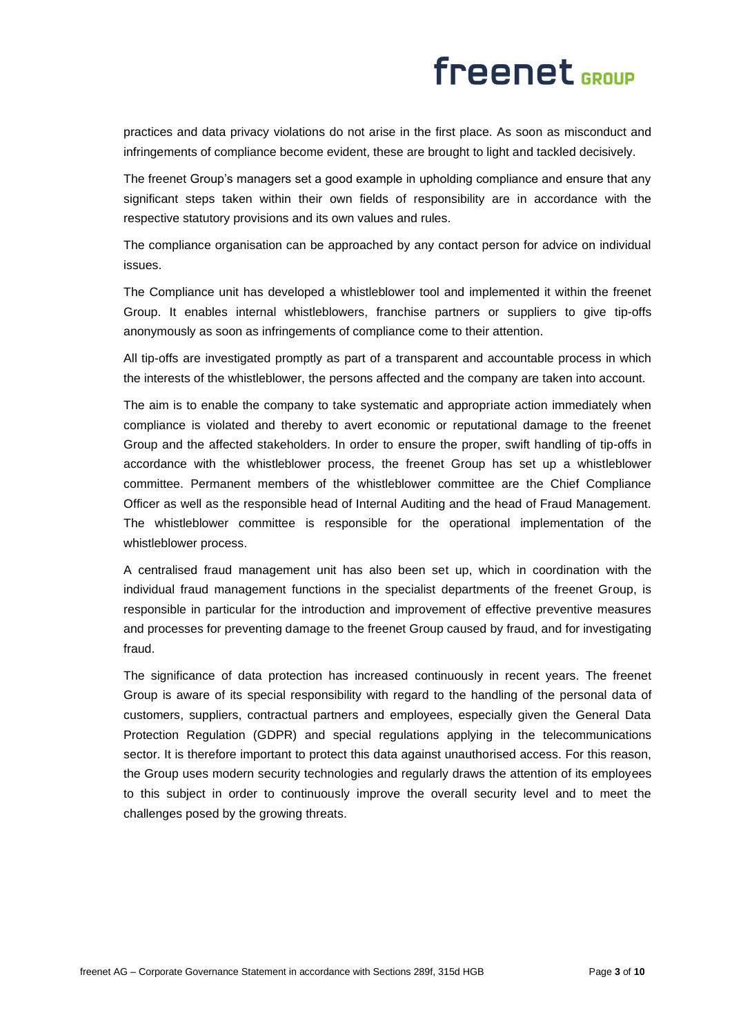practices and data privacy violations do not arise in the first place. As soon as misconduct and infringements of compliance become evident, these are brought to light and tackled decisively.

The freenet Group's managers set a good example in upholding compliance and ensure that any significant steps taken within their own fields of responsibility are in accordance with the respective statutory provisions and its own values and rules.

The compliance organisation can be approached by any contact person for advice on individual issues.

The Compliance unit has developed a whistleblower tool and implemented it within the freenet Group. It enables internal whistleblowers, franchise partners or suppliers to give tip-offs anonymously as soon as infringements of compliance come to their attention.

All tip-offs are investigated promptly as part of a transparent and accountable process in which the interests of the whistleblower, the persons affected and the company are taken into account.

The aim is to enable the company to take systematic and appropriate action immediately when compliance is violated and thereby to avert economic or reputational damage to the freenet Group and the affected stakeholders. In order to ensure the proper, swift handling of tip-offs in accordance with the whistleblower process, the freenet Group has set up a whistleblower committee. Permanent members of the whistleblower committee are the Chief Compliance Officer as well as the responsible head of Internal Auditing and the head of Fraud Management. The whistleblower committee is responsible for the operational implementation of the whistleblower process.

A centralised fraud management unit has also been set up, which in coordination with the individual fraud management functions in the specialist departments of the freenet Group, is responsible in particular for the introduction and improvement of effective preventive measures and processes for preventing damage to the freenet Group caused by fraud, and for investigating fraud.

The significance of data protection has increased continuously in recent years. The freenet Group is aware of its special responsibility with regard to the handling of the personal data of customers, suppliers, contractual partners and employees, especially given the General Data Protection Regulation (GDPR) and special regulations applying in the telecommunications sector. It is therefore important to protect this data against unauthorised access. For this reason, the Group uses modern security technologies and regularly draws the attention of its employees to this subject in order to continuously improve the overall security level and to meet the challenges posed by the growing threats.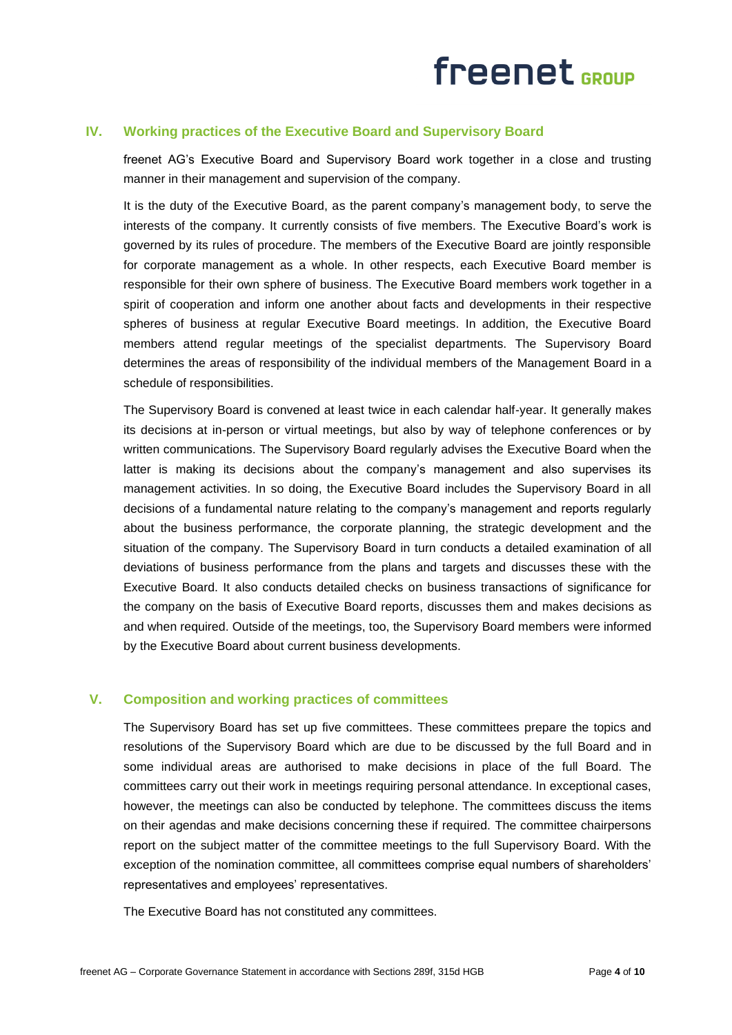### **IV. Working practices of the Executive Board and Supervisory Board**

freenet AG's Executive Board and Supervisory Board work together in a close and trusting manner in their management and supervision of the company.

It is the duty of the Executive Board, as the parent company's management body, to serve the interests of the company. It currently consists of five members. The Executive Board's work is governed by its rules of procedure. The members of the Executive Board are jointly responsible for corporate management as a whole. In other respects, each Executive Board member is responsible for their own sphere of business. The Executive Board members work together in a spirit of cooperation and inform one another about facts and developments in their respective spheres of business at regular Executive Board meetings. In addition, the Executive Board members attend regular meetings of the specialist departments. The Supervisory Board determines the areas of responsibility of the individual members of the Management Board in a schedule of responsibilities.

The Supervisory Board is convened at least twice in each calendar half-year. It generally makes its decisions at in-person or virtual meetings, but also by way of telephone conferences or by written communications. The Supervisory Board regularly advises the Executive Board when the latter is making its decisions about the company's management and also supervises its management activities. In so doing, the Executive Board includes the Supervisory Board in all decisions of a fundamental nature relating to the company's management and reports regularly about the business performance, the corporate planning, the strategic development and the situation of the company. The Supervisory Board in turn conducts a detailed examination of all deviations of business performance from the plans and targets and discusses these with the Executive Board. It also conducts detailed checks on business transactions of significance for the company on the basis of Executive Board reports, discusses them and makes decisions as and when required. Outside of the meetings, too, the Supervisory Board members were informed by the Executive Board about current business developments.

### **V. Composition and working practices of committees**

The Supervisory Board has set up five committees. These committees prepare the topics and resolutions of the Supervisory Board which are due to be discussed by the full Board and in some individual areas are authorised to make decisions in place of the full Board. The committees carry out their work in meetings requiring personal attendance. In exceptional cases, however, the meetings can also be conducted by telephone. The committees discuss the items on their agendas and make decisions concerning these if required. The committee chairpersons report on the subject matter of the committee meetings to the full Supervisory Board. With the exception of the nomination committee, all committees comprise equal numbers of shareholders' representatives and employees' representatives.

The Executive Board has not constituted any committees.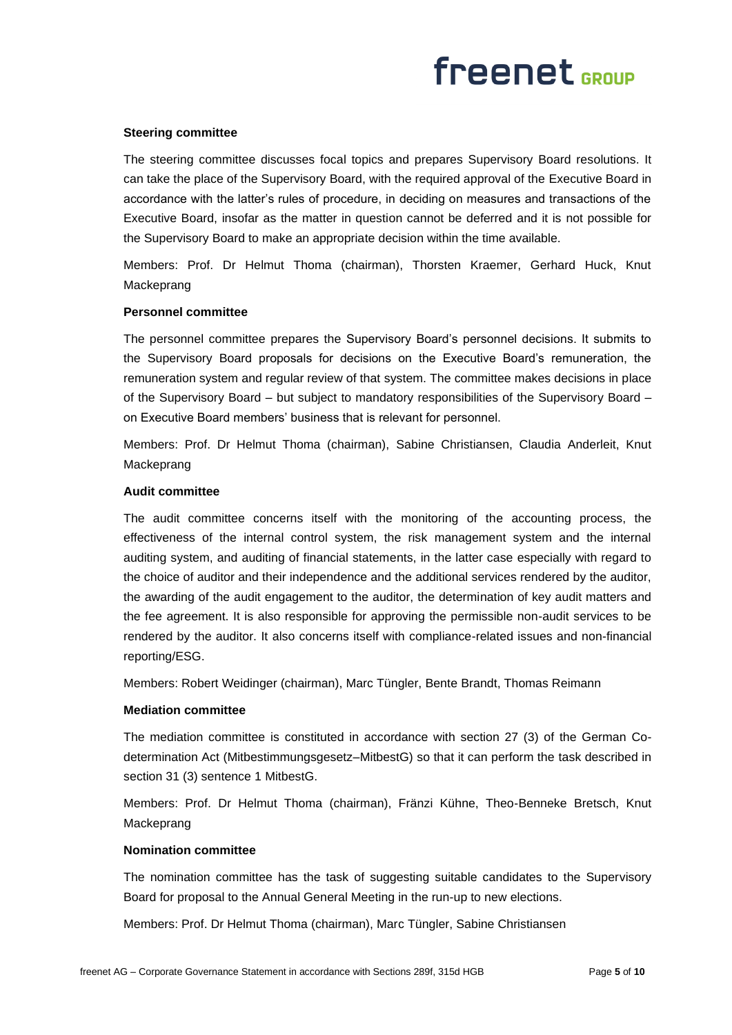#### **Steering committee**

The steering committee discusses focal topics and prepares Supervisory Board resolutions. It can take the place of the Supervisory Board, with the required approval of the Executive Board in accordance with the latter's rules of procedure, in deciding on measures and transactions of the Executive Board, insofar as the matter in question cannot be deferred and it is not possible for the Supervisory Board to make an appropriate decision within the time available.

Members: Prof. Dr Helmut Thoma (chairman), Thorsten Kraemer, Gerhard Huck, Knut Mackeprang

#### **Personnel committee**

The personnel committee prepares the Supervisory Board's personnel decisions. It submits to the Supervisory Board proposals for decisions on the Executive Board's remuneration, the remuneration system and regular review of that system. The committee makes decisions in place of the Supervisory Board – but subject to mandatory responsibilities of the Supervisory Board – on Executive Board members' business that is relevant for personnel.

Members: Prof. Dr Helmut Thoma (chairman), Sabine Christiansen, Claudia Anderleit, Knut Mackeprang

#### **Audit committee**

The audit committee concerns itself with the monitoring of the accounting process, the effectiveness of the internal control system, the risk management system and the internal auditing system, and auditing of financial statements, in the latter case especially with regard to the choice of auditor and their independence and the additional services rendered by the auditor, the awarding of the audit engagement to the auditor, the determination of key audit matters and the fee agreement. It is also responsible for approving the permissible non-audit services to be rendered by the auditor. It also concerns itself with compliance-related issues and non-financial reporting/ESG.

Members: Robert Weidinger (chairman), Marc Tüngler, Bente Brandt, Thomas Reimann

#### **Mediation committee**

The mediation committee is constituted in accordance with section 27 (3) of the German Codetermination Act (Mitbestimmungsgesetz–MitbestG) so that it can perform the task described in section 31 (3) sentence 1 MitbestG.

Members: Prof. Dr Helmut Thoma (chairman), Fränzi Kühne, Theo-Benneke Bretsch, Knut Mackeprang

#### **Nomination committee**

The nomination committee has the task of suggesting suitable candidates to the Supervisory Board for proposal to the Annual General Meeting in the run-up to new elections.

Members: Prof. Dr Helmut Thoma (chairman), Marc Tüngler, Sabine Christiansen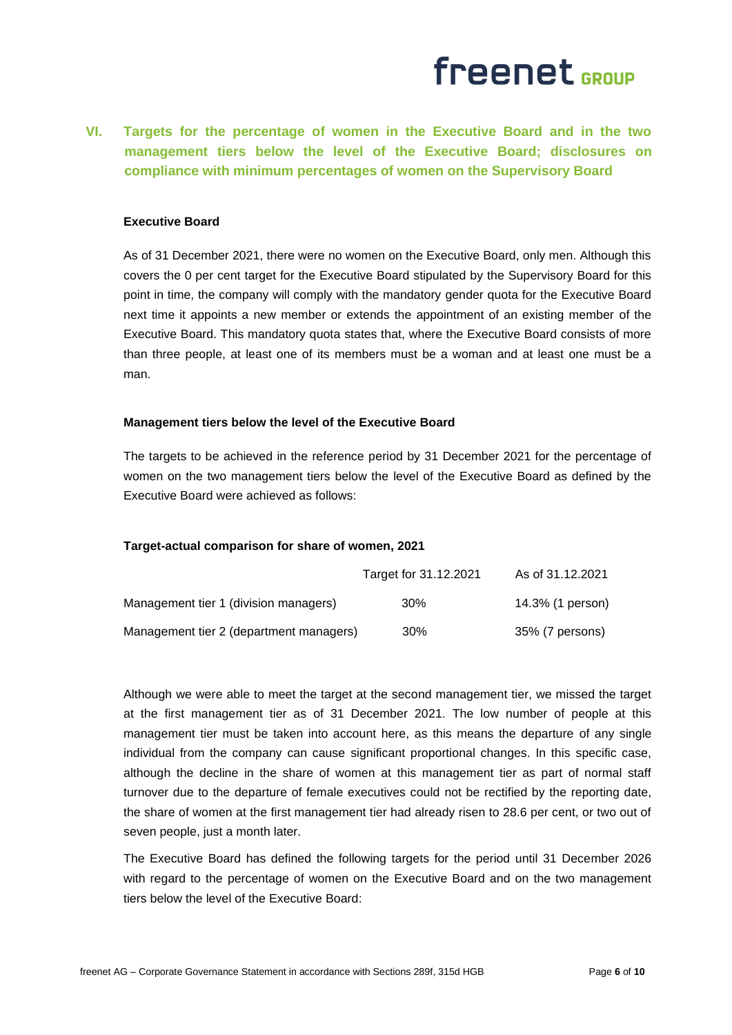**VI. Targets for the percentage of women in the Executive Board and in the two management tiers below the level of the Executive Board; disclosures on compliance with minimum percentages of women on the Supervisory Board**

#### **Executive Board**

As of 31 December 2021, there were no women on the Executive Board, only men. Although this covers the 0 per cent target for the Executive Board stipulated by the Supervisory Board for this point in time, the company will comply with the mandatory gender quota for the Executive Board next time it appoints a new member or extends the appointment of an existing member of the Executive Board. This mandatory quota states that, where the Executive Board consists of more than three people, at least one of its members must be a woman and at least one must be a man.

#### **Management tiers below the level of the Executive Board**

The targets to be achieved in the reference period by 31 December 2021 for the percentage of women on the two management tiers below the level of the Executive Board as defined by the Executive Board were achieved as follows:

#### **Target-actual comparison for share of women, 2021**

|                                         | Target for 31.12.2021 | As of 31.12.2021 |
|-----------------------------------------|-----------------------|------------------|
| Management tier 1 (division managers)   | $30\%$                | 14.3% (1 person) |
| Management tier 2 (department managers) | 30%                   | 35% (7 persons)  |

Although we were able to meet the target at the second management tier, we missed the target at the first management tier as of 31 December 2021. The low number of people at this management tier must be taken into account here, as this means the departure of any single individual from the company can cause significant proportional changes. In this specific case, although the decline in the share of women at this management tier as part of normal staff turnover due to the departure of female executives could not be rectified by the reporting date, the share of women at the first management tier had already risen to 28.6 per cent, or two out of seven people, just a month later.

The Executive Board has defined the following targets for the period until 31 December 2026 with regard to the percentage of women on the Executive Board and on the two management tiers below the level of the Executive Board: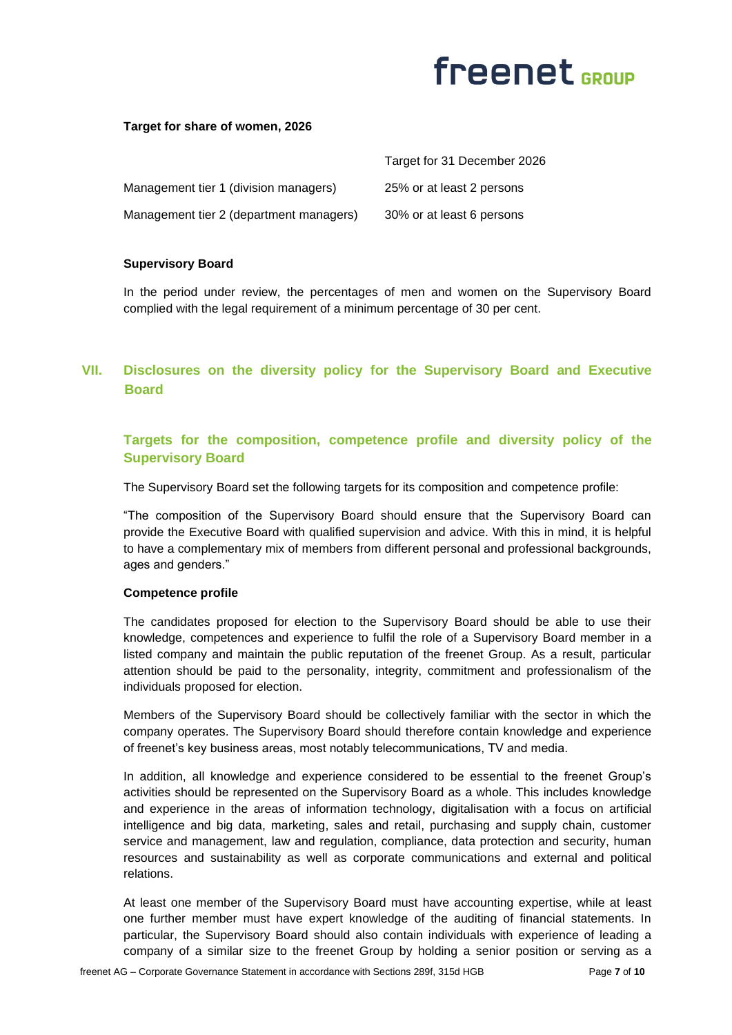#### **Target for share of women, 2026**

|                                         | Target for 31 December 2026 |
|-----------------------------------------|-----------------------------|
| Management tier 1 (division managers)   | 25% or at least 2 persons   |
| Management tier 2 (department managers) | 30% or at least 6 persons   |

#### **Supervisory Board**

In the period under review, the percentages of men and women on the Supervisory Board complied with the legal requirement of a minimum percentage of 30 per cent.

## **VII. Disclosures on the diversity policy for the Supervisory Board and Executive Board**

### **Targets for the composition, competence profile and diversity policy of the Supervisory Board**

The Supervisory Board set the following targets for its composition and competence profile:

"The composition of the Supervisory Board should ensure that the Supervisory Board can provide the Executive Board with qualified supervision and advice. With this in mind, it is helpful to have a complementary mix of members from different personal and professional backgrounds, ages and genders."

#### **Competence profile**

The candidates proposed for election to the Supervisory Board should be able to use their knowledge, competences and experience to fulfil the role of a Supervisory Board member in a listed company and maintain the public reputation of the freenet Group. As a result, particular attention should be paid to the personality, integrity, commitment and professionalism of the individuals proposed for election.

Members of the Supervisory Board should be collectively familiar with the sector in which the company operates. The Supervisory Board should therefore contain knowledge and experience of freenet's key business areas, most notably telecommunications, TV and media.

In addition, all knowledge and experience considered to be essential to the freenet Group's activities should be represented on the Supervisory Board as a whole. This includes knowledge and experience in the areas of information technology, digitalisation with a focus on artificial intelligence and big data, marketing, sales and retail, purchasing and supply chain, customer service and management, law and regulation, compliance, data protection and security, human resources and sustainability as well as corporate communications and external and political relations.

At least one member of the Supervisory Board must have accounting expertise, while at least one further member must have expert knowledge of the auditing of financial statements. In particular, the Supervisory Board should also contain individuals with experience of leading a company of a similar size to the freenet Group by holding a senior position or serving as a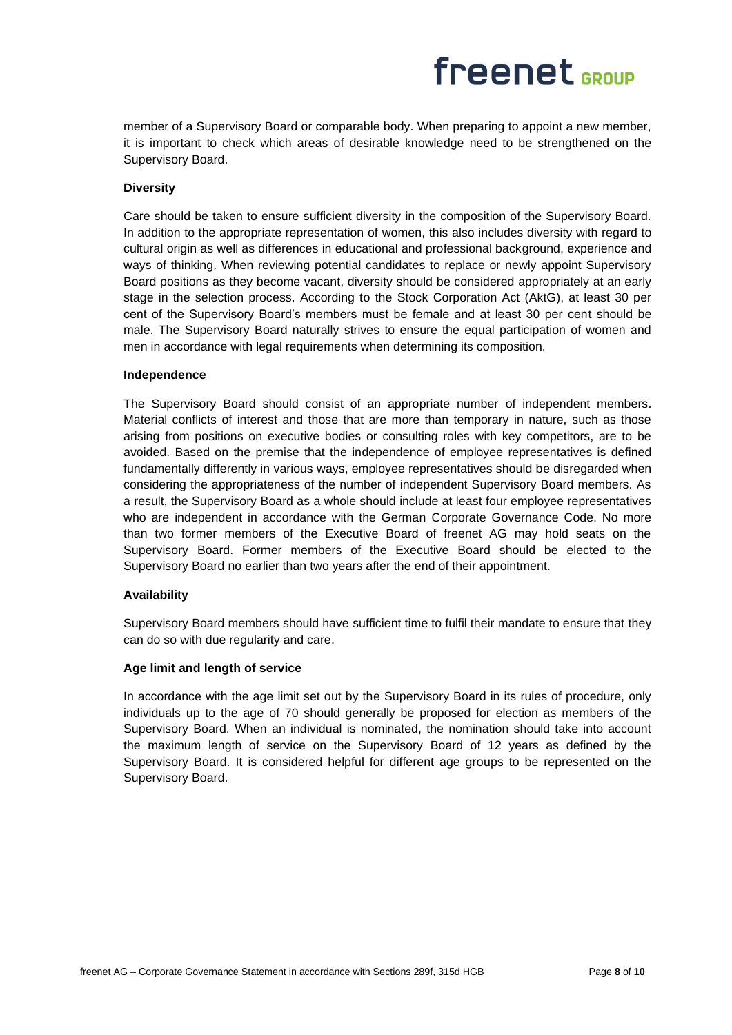member of a Supervisory Board or comparable body. When preparing to appoint a new member, it is important to check which areas of desirable knowledge need to be strengthened on the Supervisory Board.

#### **Diversity**

Care should be taken to ensure sufficient diversity in the composition of the Supervisory Board. In addition to the appropriate representation of women, this also includes diversity with regard to cultural origin as well as differences in educational and professional background, experience and ways of thinking. When reviewing potential candidates to replace or newly appoint Supervisory Board positions as they become vacant, diversity should be considered appropriately at an early stage in the selection process. According to the Stock Corporation Act (AktG), at least 30 per cent of the Supervisory Board's members must be female and at least 30 per cent should be male. The Supervisory Board naturally strives to ensure the equal participation of women and men in accordance with legal requirements when determining its composition.

#### **Independence**

The Supervisory Board should consist of an appropriate number of independent members. Material conflicts of interest and those that are more than temporary in nature, such as those arising from positions on executive bodies or consulting roles with key competitors, are to be avoided. Based on the premise that the independence of employee representatives is defined fundamentally differently in various ways, employee representatives should be disregarded when considering the appropriateness of the number of independent Supervisory Board members. As a result, the Supervisory Board as a whole should include at least four employee representatives who are independent in accordance with the German Corporate Governance Code. No more than two former members of the Executive Board of freenet AG may hold seats on the Supervisory Board. Former members of the Executive Board should be elected to the Supervisory Board no earlier than two years after the end of their appointment.

#### **Availability**

Supervisory Board members should have sufficient time to fulfil their mandate to ensure that they can do so with due regularity and care.

#### **Age limit and length of service**

In accordance with the age limit set out by the Supervisory Board in its rules of procedure, only individuals up to the age of 70 should generally be proposed for election as members of the Supervisory Board. When an individual is nominated, the nomination should take into account the maximum length of service on the Supervisory Board of 12 years as defined by the Supervisory Board. It is considered helpful for different age groups to be represented on the Supervisory Board.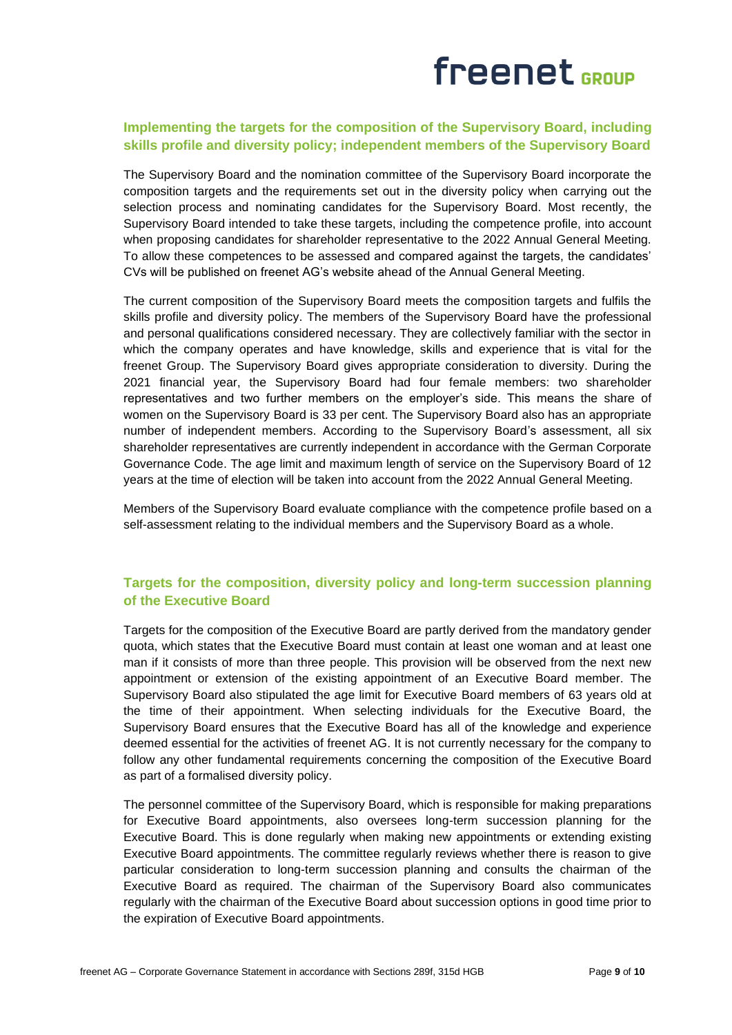## freenet GROUP

### **Implementing the targets for the composition of the Supervisory Board, including skills profile and diversity policy; independent members of the Supervisory Board**

The Supervisory Board and the nomination committee of the Supervisory Board incorporate the composition targets and the requirements set out in the diversity policy when carrying out the selection process and nominating candidates for the Supervisory Board. Most recently, the Supervisory Board intended to take these targets, including the competence profile, into account when proposing candidates for shareholder representative to the 2022 Annual General Meeting. To allow these competences to be assessed and compared against the targets, the candidates' CVs will be published on freenet AG's website ahead of the Annual General Meeting.

The current composition of the Supervisory Board meets the composition targets and fulfils the skills profile and diversity policy. The members of the Supervisory Board have the professional and personal qualifications considered necessary. They are collectively familiar with the sector in which the company operates and have knowledge, skills and experience that is vital for the freenet Group. The Supervisory Board gives appropriate consideration to diversity. During the 2021 financial year, the Supervisory Board had four female members: two shareholder representatives and two further members on the employer's side. This means the share of women on the Supervisory Board is 33 per cent. The Supervisory Board also has an appropriate number of independent members. According to the Supervisory Board's assessment, all six shareholder representatives are currently independent in accordance with the German Corporate Governance Code. The age limit and maximum length of service on the Supervisory Board of 12 years at the time of election will be taken into account from the 2022 Annual General Meeting.

Members of the Supervisory Board evaluate compliance with the competence profile based on a self-assessment relating to the individual members and the Supervisory Board as a whole.

### **Targets for the composition, diversity policy and long-term succession planning of the Executive Board**

Targets for the composition of the Executive Board are partly derived from the mandatory gender quota, which states that the Executive Board must contain at least one woman and at least one man if it consists of more than three people. This provision will be observed from the next new appointment or extension of the existing appointment of an Executive Board member. The Supervisory Board also stipulated the age limit for Executive Board members of 63 years old at the time of their appointment. When selecting individuals for the Executive Board, the Supervisory Board ensures that the Executive Board has all of the knowledge and experience deemed essential for the activities of freenet AG. It is not currently necessary for the company to follow any other fundamental requirements concerning the composition of the Executive Board as part of a formalised diversity policy.

The personnel committee of the Supervisory Board, which is responsible for making preparations for Executive Board appointments, also oversees long-term succession planning for the Executive Board. This is done regularly when making new appointments or extending existing Executive Board appointments. The committee regularly reviews whether there is reason to give particular consideration to long-term succession planning and consults the chairman of the Executive Board as required. The chairman of the Supervisory Board also communicates regularly with the chairman of the Executive Board about succession options in good time prior to the expiration of Executive Board appointments.